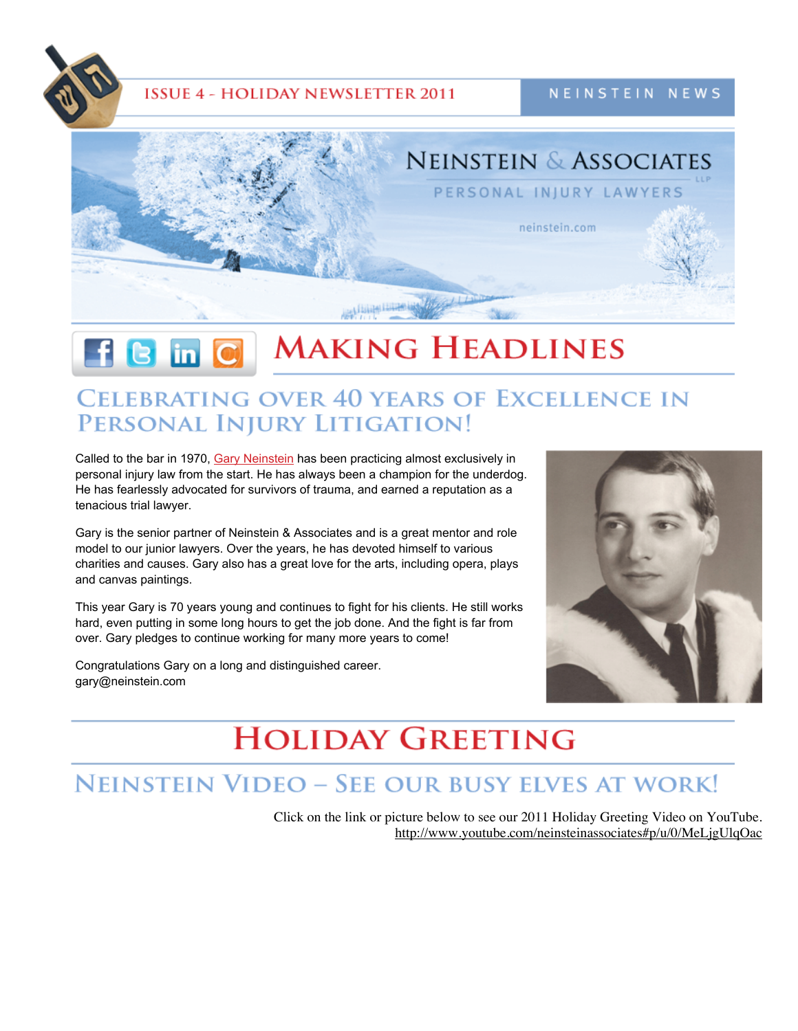

### **ISSUE 4 - HOLIDAY NEWSLETTER 2011**

NEINSTEIN NEWS



#### **MAKING HEADLINES**  $\mathbf f$   $\mathbf S$  in  $\mathbf C$

## **CELEBRATING OVER 40 YEARS OF EXCELLENCE IN** PERSONAL INJURY LITIGATION!

Called to the bar in 1970, Gary [Neinstein](http://www.neinstein.com/our-lawyers/gary-neinstein/) has been practicing almost exclusively in personal injury law from the start. He has always been a champion for the underdog. He has fearlessly advocated for survivors of trauma, and earned a reputation as a tenacious trial lawyer.

Gary is the senior partner of Neinstein & Associates and is a great mentor and role model to our junior lawyers. Over the years, he has devoted himself to various charities and causes. Gary also has a great love for the arts, including opera, plays and canvas paintings.

This year Gary is 70 years young and continues to fight for his clients. He still works hard, even putting in some long hours to get the job done. And the fight is far from over. Gary pledges to continue working for many more years to come!

Congratulations Gary on a long and distinguished career. gary@neinstein.com



# **HOLIDAY GREETING**

## **NEINSTEIN VIDEO - SEE OUR BUSY ELVES AT WORK!**

Click on the link or picture below to see our 2011 Holiday Greeting Video on YouTube. <http://www.youtube.com/neinsteinassociates#p/u/0/MeLjgUlqOac>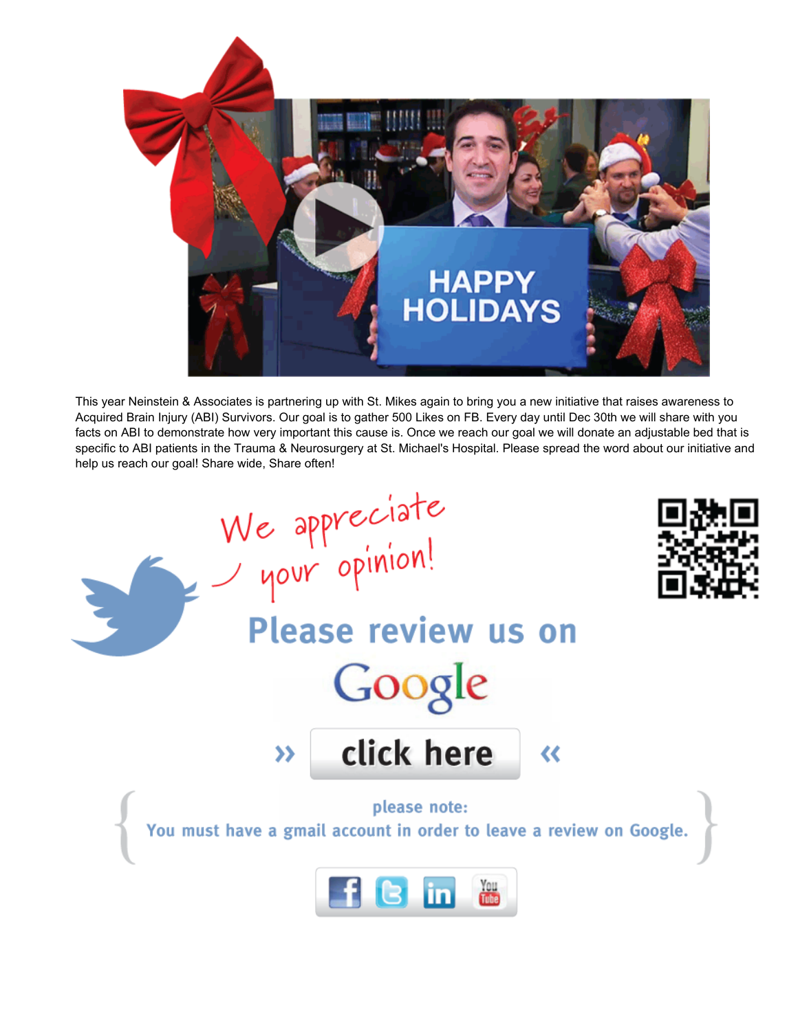

This year Neinstein & Associates is partnering up with St. Mikes again to bring you a new initiative that raises awareness to Acquired Brain Injury (ABI) Survivors. Our goal is to gather 500 Likes on FB. Every day until Dec 30th we will share with you facts on ABI to demonstrate how very important this cause is. Once we reach our goal we will donate an adjustable bed that is specific to ABI patients in the Trauma & Neurosurgery at St. Michael's Hospital. Please spread the word about our initiative and help us reach our goal! Share wide, Share often!